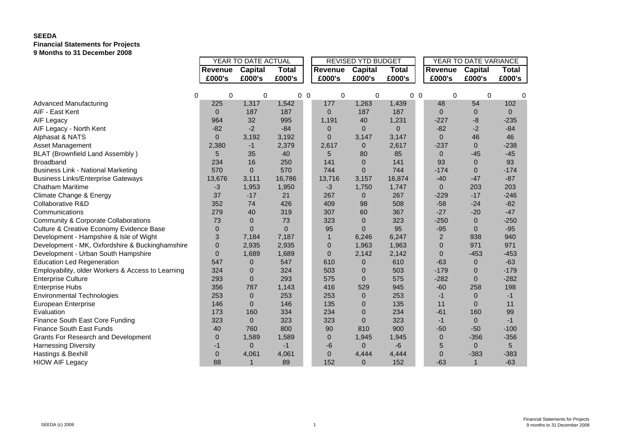## **SEEDA Financial Statements for Projects 9 Months to 31 December 2008**

|                                                   |                | YEAR TO DATE ACTUAL |                |                |              | <b>REVISED YTD BUDGET</b> |                |                |                | YEAR TO DATE VARIANCE |              |          |
|---------------------------------------------------|----------------|---------------------|----------------|----------------|--------------|---------------------------|----------------|----------------|----------------|-----------------------|--------------|----------|
|                                                   | <b>Revenue</b> | Capital             | <b>Total</b>   |                | Revenue      | Capital                   | <b>Total</b>   |                | Revenue        | <b>Capital</b>        | <b>Total</b> |          |
|                                                   | £000's         | £000's              | £000's         |                | £000's       | £000's                    | £000's         |                | £000's         | £000's                | £000's       |          |
|                                                   |                |                     |                |                |              |                           |                |                |                |                       |              |          |
| $\Omega$                                          | $\Omega$       | 0                   |                | 0 <sub>0</sub> | 0            | 0                         |                | 0 <sub>0</sub> | $\Omega$       | 0                     |              | $\Omega$ |
| <b>Advanced Manufacturing</b>                     | 225            | 1,317               | 1,542          |                | 177          | 1,263                     | 1,439          |                | 48             | 54                    | 102          |          |
| AIF - East Kent                                   | $\Omega$       | 187                 | 187            |                | $\Omega$     | 187                       | 187            |                | $\Omega$       | 0                     | $\mathbf{0}$ |          |
| AIF Legacy                                        | 964            | 32                  | 995            |                | 1,191        | 40                        | 1,231          |                | $-227$         | -8                    | $-235$       |          |
| AIF Legacy - North Kent                           | $-82$          | $-2$                | $-84$          |                | $\Omega$     | $\Omega$                  | $\overline{0}$ |                | $-82$          | $-2$                  | $-84$        |          |
| Alphasat & NATS                                   | $\Omega$       | 3,192               | 3,192          |                | $\Omega$     | 3,147                     | 3,147          |                | $\Omega$       | 46                    | 46           |          |
| Asset Management                                  | 2,380          | -1                  | 2,379          |                | 2,617        | $\overline{0}$            | 2,617          |                | $-237$         | $\Omega$              | $-238$       |          |
| <b>BLAT (Brownfield Land Assembly)</b>            | 5              | 35                  | 40             |                | 5            | 80                        | 85             |                | $\mathbf{0}$   | $-45$                 | $-45$        |          |
| Broadband                                         | 234            | 16                  | 250            |                | 141          | $\overline{0}$            | 141            |                | 93             | $\overline{0}$        | 93           |          |
| <b>Business Link - National Marketing</b>         | 570            | $\Omega$            | 570            |                | 744          | $\Omega$                  | 744            |                | $-174$         | $\Omega$              | $-174$       |          |
| <b>Business Links/Enterprise Gateways</b>         | 13,676         | 3,111               | 16,786         |                | 13,716       | 3,157                     | 16,874         |                | $-40$          | $-47$                 | $-87$        |          |
| Chatham Maritime                                  | $-3$           | 1,953               | 1,950          |                | $-3$         | 1,750                     | 1,747          |                | $\Omega$       | 203                   | 203          |          |
| Climate Change & Energy                           | 37             | $-17$               | 21             |                | 267          | $\mathbf{0}$              | 267            |                | $-229$         | $-17$                 | $-246$       |          |
| Collaborative R&D                                 | 352            | 74                  | 426            |                | 409          | 98                        | 508            |                | $-58$          | $-24$                 | $-82$        |          |
| Communications                                    | 279            | 40                  | 319            |                | 307          | 60                        | 367            |                | $-27$          | $-20$                 | $-47$        |          |
| Community & Corporate Collaborations              | 73             | $\Omega$            | 73             |                | 323          | $\overline{0}$            | 323            |                | $-250$         | $\overline{0}$        | $-250$       |          |
| Culture & Creative Economy Evidence Base          | $\mathbf{0}$   | $\overline{0}$      | $\overline{0}$ |                | 95           | $\Omega$                  | 95             |                | $-95$          | $\Omega$              | $-95$        |          |
| Development - Hampshire & Isle of Wight           | 3              | 7,184               | 7,187          |                |              | 6,246                     | 6,247          |                | $\overline{2}$ | 938                   | 940          |          |
| Development - MK, Oxfordshire & Buckinghamshire   | $\Omega$       | 2,935               | 2,935          |                | $\mathbf{0}$ | 1,963                     | 1,963          |                | $\mathbf{0}$   | 971                   | 971          |          |
| Development - Urban South Hampshire               | $\Omega$       | 1,689               | 1,689          |                | $\mathbf{0}$ | 2,142                     | 2,142          |                | $\Omega$       | $-453$                | $-453$       |          |
| <b>Education Led Regeneration</b>                 | 547            | 0                   | 547            |                | 610          | 0                         | 610            |                | $-63$          | $\overline{0}$        | $-63$        |          |
| Employability, older Workers & Access to Learning | 324            | $\overline{0}$      | 324            |                | 503          | $\mathbf 0$               | 503            |                | $-179$         | $\overline{0}$        | $-179$       |          |
| Enterprise Culture                                | 293            | 0                   | 293            |                | 575          | $\mathbf 0$               | 575            |                | $-282$         | $\overline{0}$        | $-282$       |          |
| Enterprise Hubs                                   | 356            | 787                 | 1,143          |                | 416          | 529                       | 945            |                | $-60$          | 258                   | 198          |          |
| <b>Environmental Technologies</b>                 | 253            | $\overline{0}$      | 253            |                | 253          | $\mathbf 0$               | 253            |                | $-1$           | $\overline{0}$        | $-1$         |          |
| European Enterprise                               | 146            | 0                   | 146            |                | 135          | $\mathbf 0$               | 135            |                | 11             | $\overline{0}$        | 11           |          |
| Evaluation                                        | 173            | 160                 | 334            |                | 234          | $\mathbf 0$               | 234            |                | $-61$          | 160                   | 99           |          |
| Finance South East Core Funding                   | 323            | $\Omega$            | 323            |                | 323          | $\Omega$                  | 323            |                | $-1$           | $\mathbf{0}$          | $-1$         |          |
| Finance South East Funds                          | 40             | 760                 | 800            |                | 90           | 810                       | 900            |                | $-50$          | $-50$                 | $-100$       |          |
| Grants For Research and Development               | $\mathbf{0}$   | 1,589               | 1,589          |                | $\mathbf{0}$ | 1,945                     | 1,945          |                | $\overline{0}$ | $-356$                | $-356$       |          |
| Harnessing Diversity                              | -1             | 0                   | $-1$           |                | -6           | $\mathbf{0}$              | $-6$           |                | 5              | $\mathbf 0$           | 5            |          |
| Hastings & Bexhill                                | $\overline{0}$ | 4,061               | 4,061          |                | $\mathbf{0}$ | 4,444                     | 4,444          |                | $\mathbf{0}$   | $-383$                | $-383$       |          |
| <b>HIOW AIF Legacy</b>                            | 88             | $\mathbf{1}$        | 89             |                | 152          | $\mathbf{0}$              | 152            |                | $-63$          | $\mathbf{1}$          | $-63$        |          |
|                                                   |                |                     |                |                |              |                           |                |                |                |                       |              |          |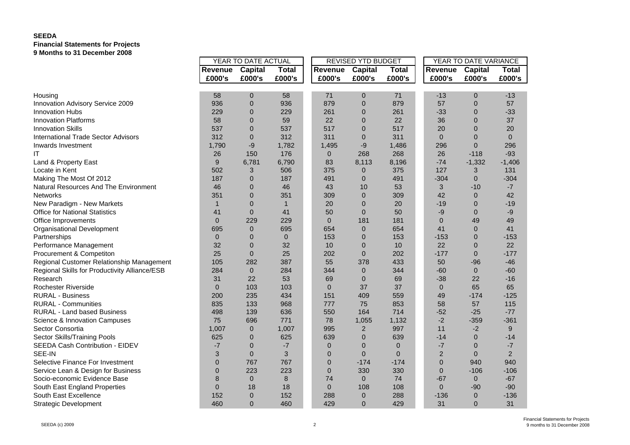## **SEEDA Financial Statements for Projects 9 Months to 31 December 2008**

|                                               | YEAR TO DATE ACTUAL |                  |              |                | REVISED YTD BUDGET |                | YEAR TO DATE VARIANCE |                |              |  |
|-----------------------------------------------|---------------------|------------------|--------------|----------------|--------------------|----------------|-----------------------|----------------|--------------|--|
|                                               | <b>Revenue</b>      | <b>Capital</b>   | <b>Total</b> | Revenue        | <b>Capital</b>     | <b>Total</b>   | Revenue               | <b>Capital</b> | <b>Total</b> |  |
|                                               | £000's              | £000's           | £000's       | £000's         | £000's             | £000's         | £000's                | £000's         | £000's       |  |
|                                               |                     |                  |              |                |                    |                |                       |                |              |  |
| Housing                                       | 58                  | $\boldsymbol{0}$ | 58           | 71             | 0                  | 71             | $-13$                 | $\mathbf 0$    | $-13$        |  |
| Innovation Advisory Service 2009              | 936                 | $\mathbf 0$      | 936          | 879            | $\overline{0}$     | 879            | 57                    | $\mathbf{0}$   | 57           |  |
| <b>Innovation Hubs</b>                        | 229                 | $\overline{0}$   | 229          | 261            | $\overline{0}$     | 261            | $-33$                 | 0              | $-33$        |  |
| <b>Innovation Platforms</b>                   | 58                  | $\overline{0}$   | 59           | 22             | $\overline{0}$     | 22             | 36                    | $\overline{0}$ | 37           |  |
| <b>Innovation Skills</b>                      | 537                 | $\overline{0}$   | 537          | 517            | $\overline{0}$     | 517            | 20                    | 0              | 20           |  |
| <b>International Trade Sector Advisors</b>    | 312                 | $\overline{0}$   | 312          | 311            | $\overline{0}$     | 311            | $\Omega$              | $\mathbf 0$    | $\mathbf{0}$ |  |
| Inwards Investment                            | 1,790               | -9               | 1,782        | 1,495          | -9                 | 1,486          | 296                   | $\Omega$       | 296          |  |
| IT                                            | 26                  | 150              | 176          | $\overline{0}$ | 268                | 268            | 26                    | $-118$         | $-93$        |  |
| Land & Property East                          | 9                   | 6,781            | 6,790        | 83             | 8,113              | 8,196          | $-74$                 | $-1,332$       | $-1,406$     |  |
| Locate in Kent                                | 502                 | 3                | 506          | 375            | 0                  | 375            | 127                   | 3              | 131          |  |
| Making The Most Of 2012                       | 187                 | $\overline{0}$   | 187          | 491            | $\overline{0}$     | 491            | $-304$                | $\mathbf{0}$   | $-304$       |  |
| Natural Resources And The Environment         | 46                  | $\Omega$         | 46           | 43             | 10                 | 53             | 3                     | $-10$          | -7           |  |
| <b>Networks</b>                               | 351                 | $\Omega$         | 351          | 309            | $\overline{0}$     | 309            | 42                    | $\mathbf{0}$   | 42           |  |
| New Paradigm - New Markets                    | $\mathbf{1}$        | $\overline{0}$   | $\mathbf{1}$ | 20             | $\overline{0}$     | 20             | $-19$                 | 0              | $-19$        |  |
| <b>Office for National Statistics</b>         | 41                  | $\mathbf 0$      | 41           | 50             | $\overline{0}$     | 50             | $-9$                  | $\mathbf{0}$   | -9           |  |
| Office Improvements                           | $\overline{0}$      | 229              | 229          | $\Omega$       | 181                | 181            | $\overline{0}$        | 49             | 49           |  |
| Organisational Development                    | 695                 | $\mathbf 0$      | 695          | 654            | 0                  | 654            | 41                    | $\mathbf{0}$   | 41           |  |
| Partnerships                                  | $\overline{0}$      | $\overline{0}$   | $\mathbf{0}$ | 153            | $\overline{0}$     | 153            | $-153$                | 0              | $-153$       |  |
| Performance Management                        | 32                  | $\mathbf 0$      | 32           | 10             | 0                  | 10             | 22                    | 0              | 22           |  |
| Procurement & Competiton                      | 25                  | $\mathbf{0}$     | 25           | 202            | $\overline{0}$     | 202            | $-177$                | $\mathbf{0}$   | $-177$       |  |
| Regional Customer Relationship Management     | 105                 | 282              | 387          | 55             | 378                | 433            | 50                    | $-96$          | $-46$        |  |
| Regional Skills for Productivity Alliance/ESB | 284                 | $\mathbf{0}$     | 284          | 344            | $\overline{0}$     | 344            | $-60$                 | $\mathbf{0}$   | $-60$        |  |
| Research                                      | 31                  | 22               | 53           | 69             | 0                  | 69             | $-38$                 | 22             | $-16$        |  |
| Rochester Riverside                           | $\Omega$            | 103              | 103          | $\Omega$       | 37                 | 37             | $\mathbf{0}$          | 65             | 65           |  |
| <b>RURAL - Business</b>                       | 200                 | 235              | 434          | 151            | 409                | 559            | 49                    | $-174$         | $-125$       |  |
| <b>RURAL - Communities</b>                    | 835                 | 133              | 968          | 777            | 75                 | 853            | 58                    | 57             | 115          |  |
| <b>RURAL - Land based Business</b>            | 498                 | 139              | 636          | 550            | 164                | 714            | $-52$                 | $-25$          | $-77$        |  |
| Science & Innovation Campuses                 | 75                  | 696              | 771          | 78             | 1,055              | 1,132          | $-2$                  | $-359$         | $-361$       |  |
| Sector Consortia                              | 1,007               | $\mathbf{0}$     | 1,007        | 995            | $\overline{2}$     | 997            | 11                    | $-2$           | 9            |  |
| Sector Skills/Training Pools                  | 625                 | $\overline{0}$   | 625          | 639            | $\overline{0}$     | 639            | $-14$                 | $\mathbf{0}$   | $-14$        |  |
| SEEDA Cash Contribution - EIDEV               | $-7$                | $\overline{0}$   | $-7$         | $\mathbf{0}$   | 0                  | $\mathbf{0}$   | $-7$                  | 0              | -7           |  |
| SEE-IN                                        | 3                   | $\mathbf 0$      | 3            | $\overline{0}$ | $\overline{0}$     | $\overline{0}$ | $\overline{2}$        | $\mathbf{0}$   | 2            |  |
| Selective Finance For Investment              | $\overline{0}$      | 767              | 767          | $\Omega$       | $-174$             | $-174$         | $\Omega$              | 940            | 940          |  |
| Service Lean & Design for Business            | $\overline{0}$      | 223              | 223          | $\mathbf{0}$   | 330                | 330            | $\mathbf 0$           | $-106$         | $-106$       |  |
| Socio-economic Evidence Base                  | 8                   | $\mathbf{0}$     | 8            | 74             | $\mathbf{0}$       | 74             | $-67$                 | $\mathbf{0}$   | $-67$        |  |
| South East England Properties                 | $\overline{0}$      | 18               | 18           | $\overline{0}$ | 108                | 108            | $\overline{0}$        | $-90$          | $-90$        |  |
| South East Excellence                         | 152                 | $\overline{0}$   | 152          | 288            | 0                  | 288            | $-136$                | $\mathbf{0}$   | $-136$       |  |
| <b>Strategic Development</b>                  | 460                 | $\mathbf{0}$     | 460          | 429            | $\overline{0}$     | 429            | 31                    | $\mathbf{0}$   | 31           |  |
|                                               |                     |                  |              |                |                    |                |                       |                |              |  |